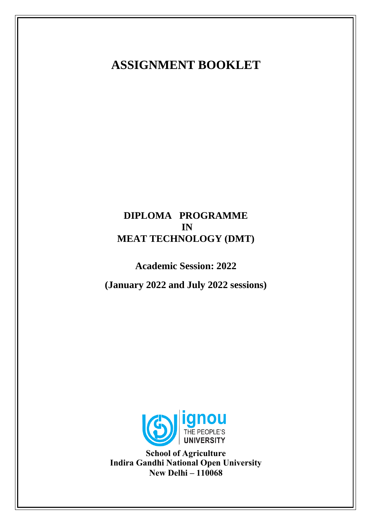# **ASSIGNMENT BOOKLET**

# **DIPLOMA PROGRAMME IN MEAT TECHNOLOGY (DMT)**

**Academic Session: 2022**

**(January 2022 and July 2022 sessions)**



**School of Agriculture Indira Gandhi National Open University New Delhi – 110068**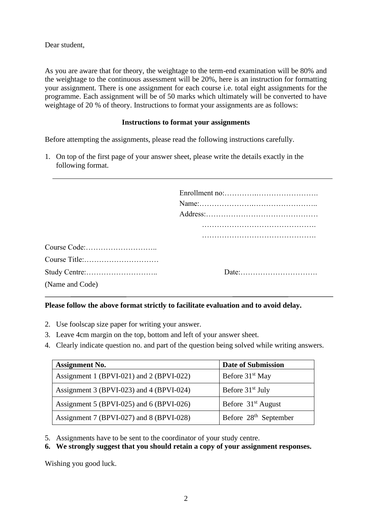Dear student,

As you are aware that for theory, the weightage to the term-end examination will be 80% and the weightage to the continuous assessment will be 20%, here is an instruction for formatting your assignment. There is one assignment for each course i.e. total eight assignments for the programme. Each assignment will be of 50 marks which ultimately will be converted to have weightage of 20 % of theory. Instructions to format your assignments are as follows:

#### **Instructions to format your assignments**

Before attempting the assignments, please read the following instructions carefully.

1. On top of the first page of your answer sheet, please write the details exactly in the following format.

|                  | $Address: \ldots \ldots \ldots \ldots \ldots \ldots \ldots \ldots \ldots \ldots \ldots \ldots \ldots$ |
|------------------|-------------------------------------------------------------------------------------------------------|
|                  |                                                                                                       |
|                  |                                                                                                       |
| Course Code: (1) |                                                                                                       |
| Course Title:    |                                                                                                       |
|                  |                                                                                                       |
| (Name and Code)  |                                                                                                       |

# **Please follow the above format strictly to facilitate evaluation and to avoid delay.**

- 2. Use foolscap size paper for writing your answer.
- 3. Leave 4cm margin on the top, bottom and left of your answer sheet.
- 4. Clearly indicate question no. and part of the question being solved while writing answers.

| <b>Assignment No.</b>                    | <b>Date of Submission</b>         |
|------------------------------------------|-----------------------------------|
| Assignment 1 (BPVI-021) and 2 (BPVI-022) | Before 31 <sup>st</sup> May       |
| Assignment 3 (BPVI-023) and 4 (BPVI-024) | Before 31 <sup>st</sup> July      |
| Assignment 5 (BPVI-025) and 6 (BPVI-026) | Before 31 <sup>st</sup> August    |
| Assignment 7 (BPVI-027) and 8 (BPVI-028) | Before 28 <sup>th</sup> September |

5. Assignments have to be sent to the coordinator of your study centre.

# **6. We strongly suggest that you should retain a copy of your assignment responses.**

Wishing you good luck.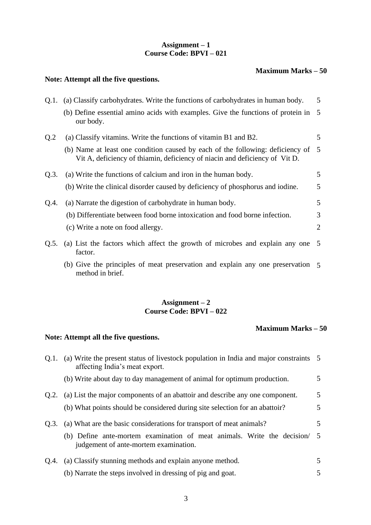# **Assignment – 1 Course Code: BPVI – 021**

#### **Maximum Marks – 50**

# **Note: Attempt all the five questions.**

| 0.1. | (a) Classify carbohydrates. Write the functions of carbohydrates in human body.                                                                                 | 5  |
|------|-----------------------------------------------------------------------------------------------------------------------------------------------------------------|----|
|      | (b) Define essential amino acids with examples. Give the functions of protein in 5<br>our body.                                                                 |    |
| Q.2  | (a) Classify vitamins. Write the functions of vitamin B1 and B2.                                                                                                | 5. |
|      | (b) Name at least one condition caused by each of the following: deficiency of 5<br>Vit A, deficiency of thiamin, deficiency of niacin and deficiency of Vit D. |    |
| Q.3. | (a) Write the functions of calcium and iron in the human body.                                                                                                  | 5. |
|      | (b) Write the clinical disorder caused by deficiency of phosphorus and iodine.                                                                                  | 5  |
| Q.4. | (a) Narrate the digestion of carbohydrate in human body.                                                                                                        | 5  |
|      | (b) Differentiate between food borne intoxication and food borne infection.                                                                                     | 3  |
|      | (c) Write a note on food allergy.                                                                                                                               | 2  |
| Q.5. | (a) List the factors which affect the growth of microbes and explain any one 5<br>factor.                                                                       |    |

(b) Give the principles of meat preservation and explain any one preservation 5 method in brief.

# **Assignment – 2 Course Code: BPVI – 022**

## **Maximum Marks – 50**

|      | Q.1. (a) Write the present status of livestock population in India and major constraints 5<br>affecting India's meat export. |   |
|------|------------------------------------------------------------------------------------------------------------------------------|---|
|      | (b) Write about day to day management of animal for optimum production.                                                      | 5 |
|      | Q.2. (a) List the major components of an abattoir and describe any one component.                                            | 5 |
|      | (b) What points should be considered during site selection for an abattoir?                                                  | 5 |
| O.3. | (a) What are the basic considerations for transport of meat animals?                                                         | 5 |
|      | (b) Define ante-mortem examination of meat animals. Write the decision/ 5<br>judgement of ante-mortem examination.           |   |
| O.4. | (a) Classify stunning methods and explain anyone method.                                                                     | 5 |
|      | (b) Narrate the steps involved in dressing of pig and goat.                                                                  | 5 |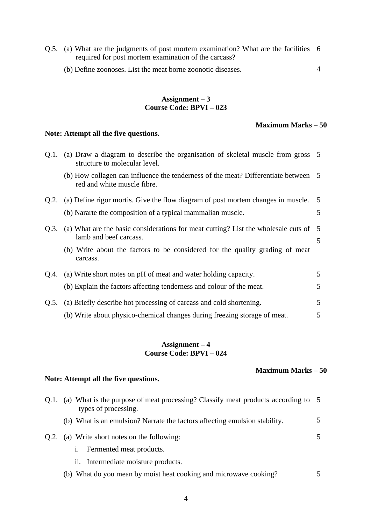- Q.5. (a) What are the judgments of post mortem examination? What are the facilities 6 required for post mortem examination of the carcass?
	- (b) Define zoonoses. List the meat borne zoonotic diseases.

### **Assignment – 3 Course Code: BPVI – 023**

#### **Maximum Marks – 50**

4

#### **Note: Attempt all the five questions.**

|      | Q.1. (a) Draw a diagram to describe the organisation of skeletal muscle from gross 5<br>structure to molecular level. |   |
|------|-----------------------------------------------------------------------------------------------------------------------|---|
|      | (b) How collagen can influence the tenderness of the meat? Differentiate between 5<br>red and white muscle fibre.     |   |
|      | Q.2. (a) Define rigor mortis. Give the flow diagram of post mortem changes in muscle. 5                               |   |
|      | (b) Nararte the composition of a typical mammalian muscle.                                                            | 5 |
| Q.3. | (a) What are the basic considerations for meat cutting? List the wholesale cuts of 5<br>lamb and beef carcass.        | 5 |
|      | (b) Write about the factors to be considered for the quality grading of meat<br>carcass.                              |   |
|      | Q.4. (a) Write short notes on pH of meat and water holding capacity.                                                  | 5 |
|      | (b) Explain the factors affecting tenderness and colour of the meat.                                                  | 5 |
| Q.5. | (a) Briefly describe hot processing of carcass and cold shortening.                                                   | 5 |
|      | (b) Write about physico-chemical changes during freezing storage of meat.                                             | 5 |
|      |                                                                                                                       |   |

#### **Assignment – 4 Course Code: BPVI – 024**

# **Maximum Marks – 50**

| Q.1. | (a) What is the purpose of meat processing? Classify meat products according to 5<br>types of processing. |    |
|------|-----------------------------------------------------------------------------------------------------------|----|
|      | (b) What is an emulsion? Narrate the factors affecting emulsion stability.                                | 5. |
| Q.2. | (a) Write short notes on the following:                                                                   | 5. |
|      | Fermented meat products.<br>1.                                                                            |    |
|      | ii. Intermediate moisture products.                                                                       |    |
|      | (b) What do you mean by moist heat cooking and microwave cooking?                                         |    |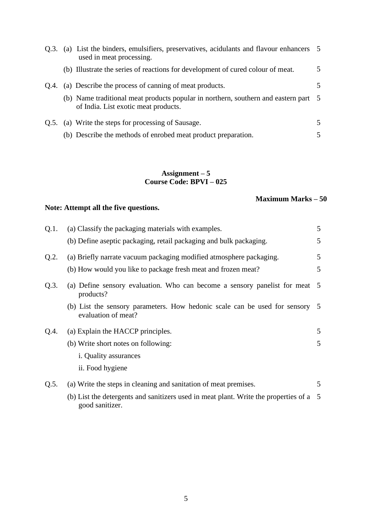|      | Q.3. (a) List the binders, emulsifiers, preservatives, acidulants and flavour enhancers 5<br>used in meat processing.       |                         |
|------|-----------------------------------------------------------------------------------------------------------------------------|-------------------------|
|      | (b) Illustrate the series of reactions for development of cured colour of meat.                                             | $\overline{5}$          |
| O.4. | (a) Describe the process of canning of meat products.                                                                       | 5.                      |
|      | (b) Name traditional meat products popular in northern, southern and eastern part 5<br>of India. List exotic meat products. |                         |
|      | Q.5. (a) Write the steps for processing of Sausage.                                                                         | $\overline{\mathbf{5}}$ |
|      | (b) Describe the methods of enrobed meat product preparation.                                                               | 5.                      |

#### **Assignment – 5 Course Code: BPVI – 025**

# **Maximum Marks – 50**

| Q.1.    | (a) Classify the packaging materials with examples.                                                       | 5               |
|---------|-----------------------------------------------------------------------------------------------------------|-----------------|
|         | (b) Define aseptic packaging, retail packaging and bulk packaging.                                        | 5               |
| Q.2.    | (a) Briefly narrate vacuum packaging modified atmosphere packaging.                                       | 5               |
|         | (b) How would you like to package fresh meat and frozen meat?                                             | 5               |
| $Q.3$ . | (a) Define sensory evaluation. Who can become a sensory panelist for meat<br>products?                    | $5\overline{)}$ |
|         | (b) List the sensory parameters. How hedonic scale can be used for sensory<br>evaluation of meat?         | 5               |
| Q.4.    | (a) Explain the HACCP principles.                                                                         | 5               |
|         | (b) Write short notes on following:                                                                       | 5               |
|         | <i>i</i> . Quality assurances                                                                             |                 |
|         | ii. Food hygiene                                                                                          |                 |
| Q.5.    | (a) Write the steps in cleaning and sanitation of meat premises.                                          | 5               |
|         | (b) List the detergents and sanitizers used in meat plant. Write the properties of a 5<br>good sanitizer. |                 |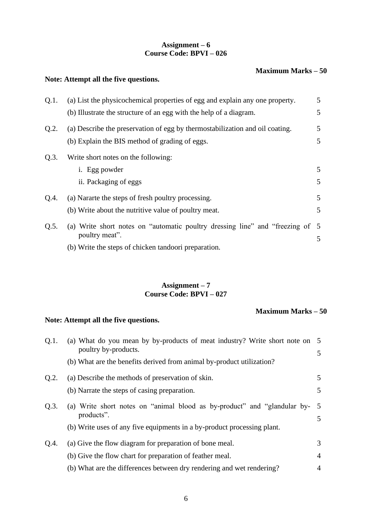# **Assignment – 6 Course Code: BPVI – 026**

#### **Maximum Marks – 50**

# **Note: Attempt all the five questions.**

| Q.1. | (a) List the physicochemical properties of egg and explain any one property.  | 5 |
|------|-------------------------------------------------------------------------------|---|
|      | (b) Illustrate the structure of an egg with the help of a diagram.            | 5 |
| Q.2. | (a) Describe the preservation of egg by thermostabilization and oil coating.  | 5 |
|      | (b) Explain the BIS method of grading of eggs.                                | 5 |
| Q.3. | Write short notes on the following:                                           |   |
|      | i. Egg powder                                                                 | 5 |
|      | ii. Packaging of eggs                                                         | 5 |
| Q.4. | (a) Nararte the steps of fresh poultry processing.                            | 5 |
|      | (b) Write about the nutritive value of poultry meat.                          | 5 |
| Q.5. | (a) Write short notes on "automatic poultry dressing line" and "freezing of 5 |   |
|      | poultry meat".                                                                | 5 |
|      | (b) Write the steps of chicken tandoori preparation.                          |   |

# **Assignment – 7 Course Code: BPVI – 027**

# **Maximum Marks – 50**

| Q.1. | (a) What do you mean by by-products of meat industry? Write short note on 5<br>poultry by-products. |                |
|------|-----------------------------------------------------------------------------------------------------|----------------|
|      | (b) What are the benefits derived from animal by-product utilization?                               | 5              |
| Q.2. | (a) Describe the methods of preservation of skin.                                                   | 5              |
|      | (b) Narrate the steps of casing preparation.                                                        | 5              |
| Q.3. | (a) Write short notes on "animal blood as by-product" and "glandular by-<br>products".              | 5<br>5         |
|      | (b) Write uses of any five equipments in a by-product processing plant.                             |                |
| Q.4. | (a) Give the flow diagram for preparation of bone meal.                                             | 3              |
|      | (b) Give the flow chart for preparation of feather meal.                                            | $\overline{4}$ |
|      | (b) What are the differences between dry rendering and wet rendering?                               | $\overline{4}$ |